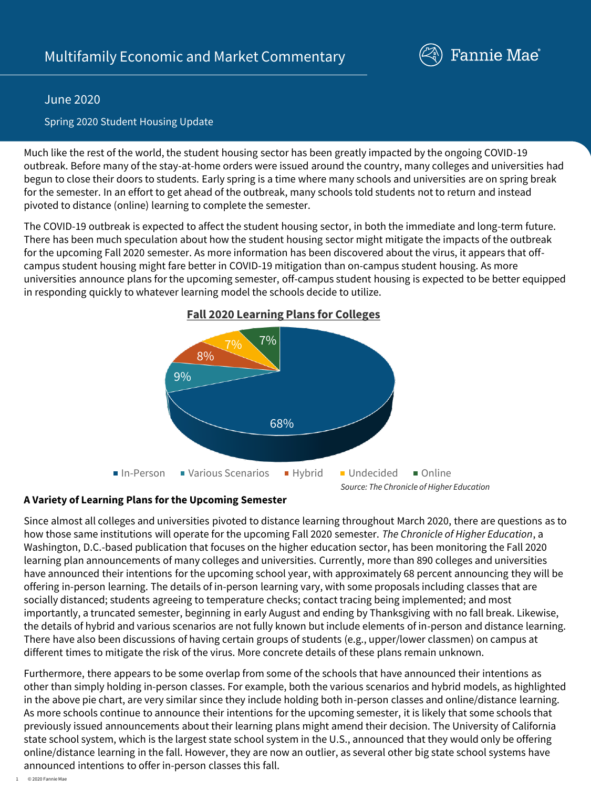

## June 2020

## Spring 2020 Student Housing Update

Much like the rest of the world, the student housing sector has been greatly impacted by the ongoing COVID-19 outbreak. Before many of the stay-at-home orders were issued around the country, many colleges and universities had begun to close their doors to students. Early spring is a time where many schools and universities are on spring break for the semester. In an effort to get ahead of the outbreak, many schools told students not to return and instead pivoted to distance (online) learning to complete the semester.

The COVID-19 outbreak is expected to affect the student housing sector, in both the immediate and long-term future. There has been much speculation about how the student housing sector might mitigate the impacts of the outbreak for the upcoming Fall 2020 semester. As more information has been discovered about the virus, it appears that offcampus student housing might fare better in COVID-19 mitigation than on-campus student housing. As more universities announce plans for the upcoming semester, off-campus student housing is expected to be better equipped in responding quickly to whatever learning model the schools decide to utilize.



### **Fall 2020 Learning Plans for Colleges**

#### **A Variety of Learning Plans for the Upcoming Semester**

Since almost all colleges and universities pivoted to distance learning throughout March 2020, there are questions as to how those same institutions will operate for the upcoming Fall 2020 semester. *The Chronicle of Higher Education*, a Washington, D.C.-based publication that focuses on the higher education sector, has been monitoring the Fall 2020 learning plan announcements of many colleges and universities. Currently, more than 890 colleges and universities have announced their intentions for the upcoming school year, with approximately 68 percent announcing they will be offering in-person learning. The details of in-person learning vary, with some proposals including classes that are socially distanced; students agreeing to temperature checks; contact tracing being implemented; and most importantly, a truncated semester, beginning in early August and ending by Thanksgiving with no fall break. Likewise, the details of hybrid and various scenarios are not fully known but include elements of in-person and distance learning. There have also been discussions of having certain groups of students (e.g., upper/lower classmen) on campus at different times to mitigate the risk of the virus. More concrete details of these plans remain unknown.

Furthermore, there appears to be some overlap from some of the schools that have announced their intentions as other than simply holding in-person classes. For example, both the various scenarios and hybrid models, as highlighted in the above pie chart, are very similar since they include holding both in-person classes and online/distance learning. As more schools continue to announce their intentions for the upcoming semester, it is likely that some schools that previously issued announcements about their learning plans might amend their decision. The University of California state school system, which is the largest state school system in the U.S., announced that they would only be offering online/distance learning in the fall. However, they are now an outlier, as several other big state school systems have announced intentions to offer in-person classes this fall.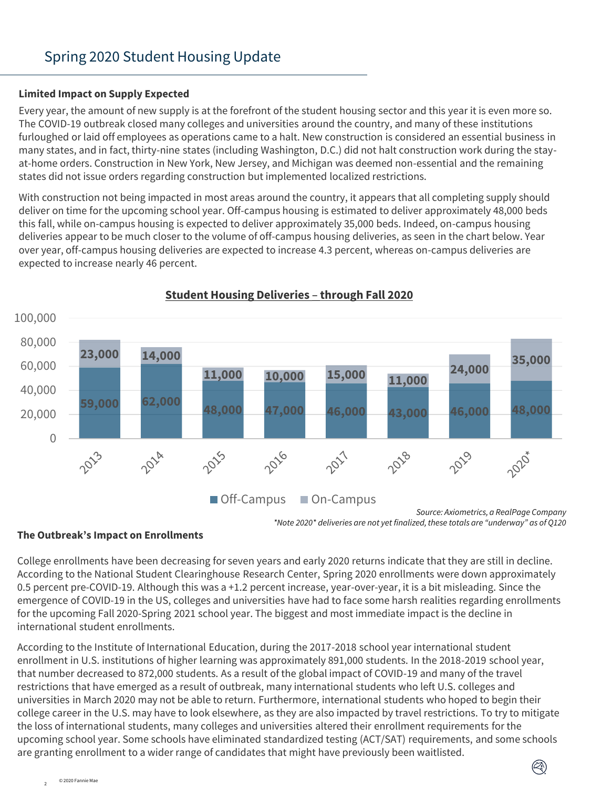# Spring 2020 Student Housing Update

#### **Limited Impact on Supply Expected**

Every year, the amount of new supply is at the forefront of the student housing sector and this year it is even more so. The COVID-19 outbreak closed many colleges and universities around the country, and many of these institutions furloughed or laid off employees as operations came to a halt. New construction is considered an essential business in many states, and in fact, thirty-nine states (including Washington, D.C.) did not halt construction work during the stayat-home orders. Construction in New York, New Jersey, and Michigan was deemed non-essential and the remaining states did not issue orders regarding construction but implemented localized restrictions.

With construction not being impacted in most areas around the country, it appears that all completing supply should deliver on time for the upcoming school year. Off-campus housing is estimated to deliver approximately 48,000 beds this fall, while on-campus housing is expected to deliver approximately 35,000 beds. Indeed, on-campus housing deliveries appear to be much closer to the volume of off-campus housing deliveries, as seen in the chart below. Year over year, off-campus housing deliveries are expected to increase 4.3 percent, whereas on-campus deliveries are expected to increase nearly 46 percent.



## **Student Housing Deliveries** – **through Fall 2020**

Ø)

#### **The Outbreak's Impact on Enrollments**

College enrollments have been decreasing for seven years and early 2020 returns indicate that they are still in decline. According to the National Student Clearinghouse Research Center, Spring 2020 enrollments were down approximately 0.5 percent pre-COVID-19. Although this was a +1.2 percent increase, year-over-year, it is a bit misleading. Since the emergence of COVID-19 in the US, colleges and universities have had to face some harsh realities regarding enrollments for the upcoming Fall 2020-Spring 2021 school year. The biggest and most immediate impact is the decline in international student enrollments.

According to the Institute of International Education, during the 2017-2018 school year international student enrollment in U.S. institutions of higher learning was approximately 891,000 students. In the 2018-2019 school year, that number decreased to 872,000 students. As a result of the global impact of COVID-19 and many of the travel restrictions that have emerged as a result of outbreak, many international students who left U.S. colleges and universities in March 2020 may not be able to return. Furthermore, international students who hoped to begin their college career in the U.S. may have to look elsewhere, as they are also impacted by travel restrictions. To try to mitigate the loss of international students, many colleges and universities altered their enrollment requirements for the upcoming school year. Some schools have eliminated standardized testing (ACT/SAT) requirements, and some schools are granting enrollment to a wider range of candidates that might have previously been waitlisted.

*Source: Axiometrics, a RealPage Company \*Note 2020\* deliveries are not yet finalized, these totals are "underway" as of Q120*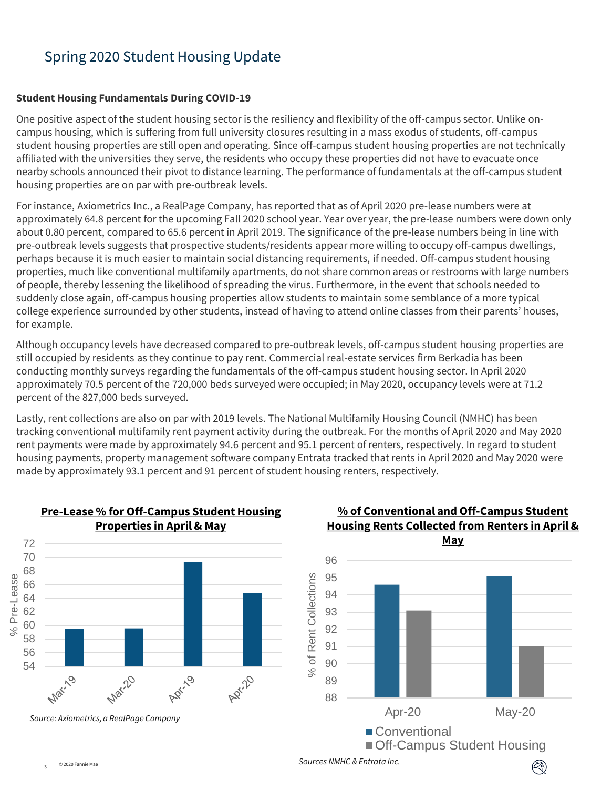#### **Student Housing Fundamentals During COVID-19**

One positive aspect of the student housing sector is the resiliency and flexibility of the off-campus sector. Unlike oncampus housing, which is suffering from full university closures resulting in a mass exodus of students, off-campus student housing properties are still open and operating. Since off-campus student housing properties are not technically affiliated with the universities they serve, the residents who occupy these properties did not have to evacuate once nearby schools announced their pivot to distance learning. The performance of fundamentals at the off-campus student housing properties are on par with pre-outbreak levels.

For instance, Axiometrics Inc., a RealPage Company, has reported that as of April 2020 pre-lease numbers were at approximately 64.8 percent for the upcoming Fall 2020 school year. Year over year, the pre-lease numbers were down only about 0.80 percent, compared to 65.6 percent in April 2019. The significance of the pre-lease numbers being in line with pre-outbreak levels suggests that prospective students/residents appear more willing to occupy off-campus dwellings, perhaps because it is much easier to maintain social distancing requirements, if needed. Off-campus student housing properties, much like conventional multifamily apartments, do not share common areas or restrooms with large numbers of people, thereby lessening the likelihood of spreading the virus. Furthermore, in the event that schools needed to suddenly close again, off-campus housing properties allow students to maintain some semblance of a more typical college experience surrounded by other students, instead of having to attend online classes from their parents' houses, for example.

Although occupancy levels have decreased compared to pre-outbreak levels, off-campus student housing properties are still occupied by residents as they continue to pay rent. Commercial real-estate services firm Berkadia has been conducting monthly surveys regarding the fundamentals of the off-campus student housing sector. In April 2020 approximately 70.5 percent of the 720,000 beds surveyed were occupied; in May 2020, occupancy levels were at 71.2 percent of the 827,000 beds surveyed.

Lastly, rent collections are also on par with 2019 levels. The National Multifamily Housing Council (NMHC) has been tracking conventional multifamily rent payment activity during the outbreak. For the months of April 2020 and May 2020 rent payments were made by approximately 94.6 percent and 95.1 percent of renters, respectively. In regard to student housing payments, property management software company Entrata tracked that rents in April 2020 and May 2020 were made by approximately 93.1 percent and 91 percent of student housing renters, respectively.



#### **Pre-Lease % for Off-Campus Student Housing Properties in April & May**

## **% of Conventional and Off-Campus Student Housing Rents Collected from Renters in April & May**



 $(\mathbb{Z})$ 

*Sources NMHC & Entrata Inc.*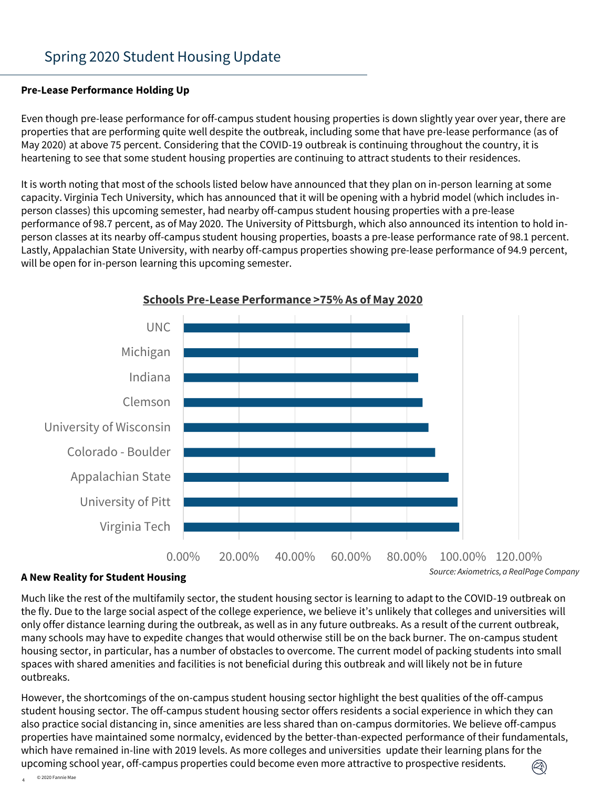#### **Pre-Lease Performance Holding Up**

Even though pre-lease performance for off-campus student housing properties is down slightly year over year, there are properties that are performing quite well despite the outbreak, including some that have pre-lease performance (as of May 2020) at above 75 percent. Considering that the COVID-19 outbreak is continuing throughout the country, it is heartening to see that some student housing properties are continuing to attract students to their residences.

It is worth noting that most of the schools listed below have announced that they plan on in-person learning at some capacity. Virginia Tech University, which has announced that it will be opening with a hybrid model (which includes inperson classes) this upcoming semester, had nearby off-campus student housing properties with a pre-lease performance of 98.7 percent, as of May 2020. The University of Pittsburgh, which also announced its intention to hold inperson classes at its nearby off-campus student housing properties, boasts a pre-lease performance rate of 98.1 percent. Lastly, Appalachian State University, with nearby off-campus properties showing pre-lease performance of 94.9 percent, will be open for in-person learning this upcoming semester.



#### **Schools Pre-Lease Performance >75% As of May 2020**

#### **A New Reality for Student Housing**

Much like the rest of the multifamily sector, the student housing sector is learning to adapt to the COVID-19 outbreak on the fly. Due to the large social aspect of the college experience, we believe it's unlikely that colleges and universities will only offer distance learning during the outbreak, as well as in any future outbreaks. As a result of the current outbreak, many schools may have to expedite changes that would otherwise still be on the back burner. The on-campus student housing sector, in particular, has a number of obstacles to overcome. The current model of packing students into small spaces with shared amenities and facilities is not beneficial during this outbreak and will likely not be in future outbreaks.

However, the shortcomings of the on-campus student housing sector highlight the best qualities of the off-campus student housing sector. The off-campus student housing sector offers residents a social experience in which they can also practice social distancing in, since amenities are less shared than on-campus dormitories. We believe off-campus properties have maintained some normalcy, evidenced by the better-than-expected performance of their fundamentals, which have remained in-line with 2019 levels. As more colleges and universities update their learning plans for the upcoming school year, off-campus properties could become even more attractive to prospective residents.  $\textcircled{c}$ 

© 2020 Fannie Mae